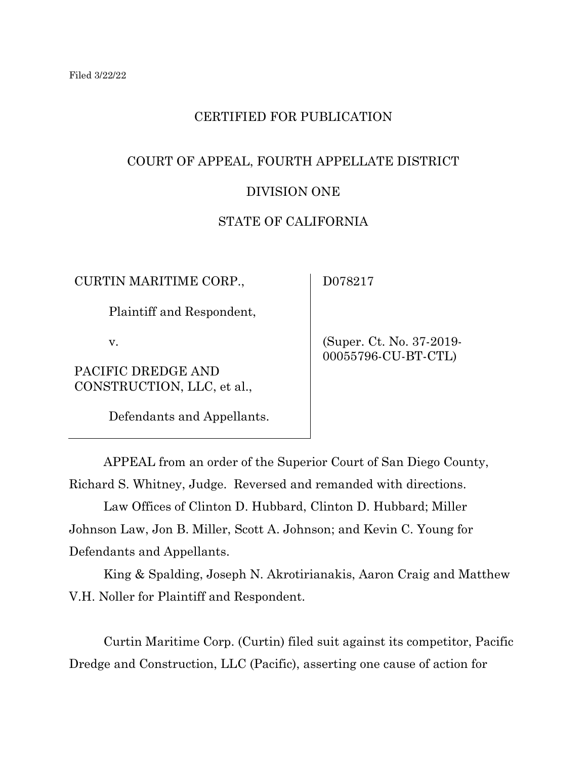## CERTIFIED FOR PUBLICATION

# COURT OF APPEAL, FOURTH APPELLATE DISTRICT DIVISION ONE

## STATE OF CALIFORNIA

CURTIN MARITIME CORP.,

Plaintiff and Respondent,

v.

PACIFIC DREDGE AND CONSTRUCTION, LLC, et al.,

Defendants and Appellants.

D078217

 (Super. Ct. No. 37-2019- 00055796-CU-BT-CTL)

APPEAL from an order of the Superior Court of San Diego County, Richard S. Whitney, Judge. Reversed and remanded with directions.

Law Offices of Clinton D. Hubbard, Clinton D. Hubbard; Miller Johnson Law, Jon B. Miller, Scott A. Johnson; and Kevin C. Young for Defendants and Appellants.

King & Spalding, Joseph N. Akrotirianakis, Aaron Craig and Matthew V.H. Noller for Plaintiff and Respondent.

Curtin Maritime Corp. (Curtin) filed suit against its competitor, Pacific Dredge and Construction, LLC (Pacific), asserting one cause of action for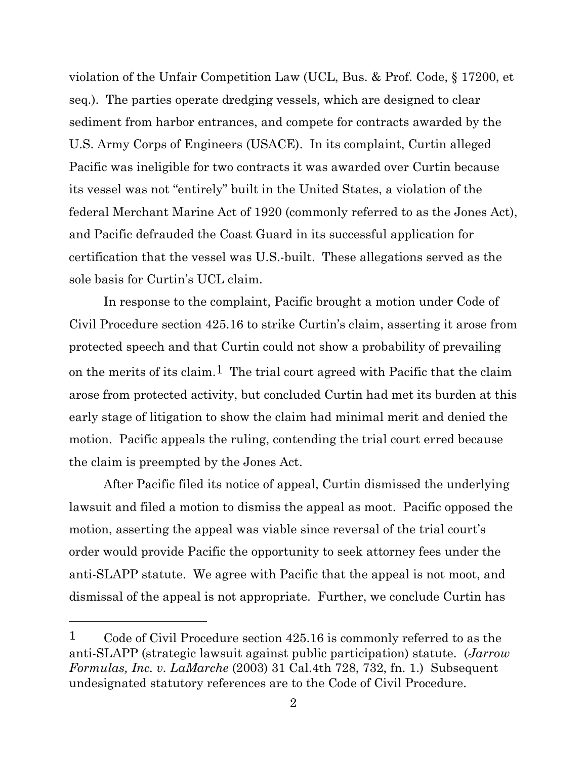violation of the Unfair Competition Law (UCL, Bus. & Prof. Code, § 17200, et seq.). The parties operate dredging vessels, which are designed to clear sediment from harbor entrances, and compete for contracts awarded by the U.S. Army Corps of Engineers (USACE). In its complaint, Curtin alleged Pacific was ineligible for two contracts it was awarded over Curtin because its vessel was not "entirely" built in the United States, a violation of the federal Merchant Marine Act of 1920 (commonly referred to as the Jones Act), and Pacific defrauded the Coast Guard in its successful application for certification that the vessel was U.S.-built. These allegations served as the sole basis for Curtin's UCL claim.

In response to the complaint, Pacific brought a motion under Code of Civil Procedure section 425.16 to strike Curtin's claim, asserting it arose from protected speech and that Curtin could not show a probability of prevailing on the merits of its claim.<sup>1</sup> The trial court agreed with Pacific that the claim arose from protected activity, but concluded Curtin had met its burden at this early stage of litigation to show the claim had minimal merit and denied the motion. Pacific appeals the ruling, contending the trial court erred because the claim is preempted by the Jones Act.

After Pacific filed its notice of appeal, Curtin dismissed the underlying lawsuit and filed a motion to dismiss the appeal as moot. Pacific opposed the motion, asserting the appeal was viable since reversal of the trial court's order would provide Pacific the opportunity to seek attorney fees under the anti-SLAPP statute. We agree with Pacific that the appeal is not moot, and dismissal of the appeal is not appropriate. Further, we conclude Curtin has

<sup>&</sup>lt;sup>1</sup> Code of Civil Procedure section 425.16 is commonly referred to as the anti-SLAPP (strategic lawsuit against public participation) statute. (*Jarrow Formulas, Inc. v. LaMarche* (2003) 31 Cal.4th 728, 732, fn. 1.) Subsequent undesignated statutory references are to the Code of Civil Procedure.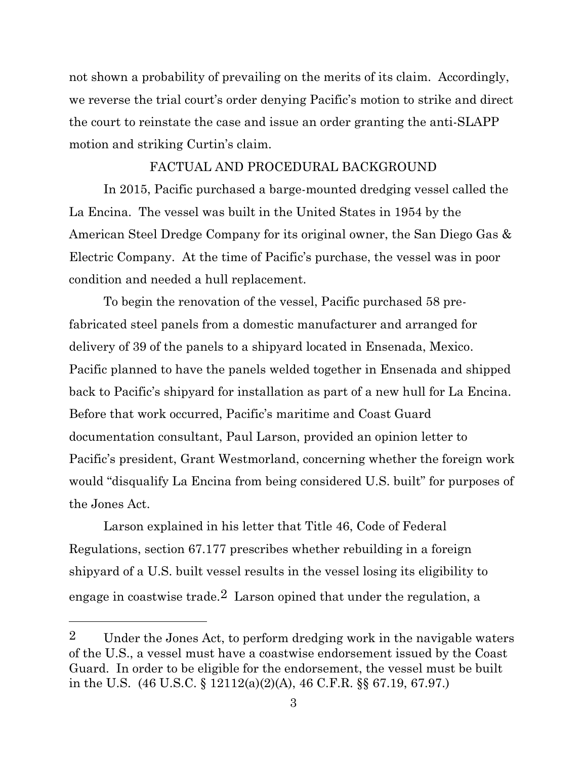not shown a probability of prevailing on the merits of its claim. Accordingly, we reverse the trial court's order denying Pacific's motion to strike and direct the court to reinstate the case and issue an order granting the anti-SLAPP motion and striking Curtin's claim.

#### FACTUAL AND PROCEDURAL BACKGROUND

In 2015, Pacific purchased a barge-mounted dredging vessel called the La Encina. The vessel was built in the United States in 1954 by the American Steel Dredge Company for its original owner, the San Diego Gas & Electric Company. At the time of Pacific's purchase, the vessel was in poor condition and needed a hull replacement.

To begin the renovation of the vessel, Pacific purchased 58 prefabricated steel panels from a domestic manufacturer and arranged for delivery of 39 of the panels to a shipyard located in Ensenada, Mexico. Pacific planned to have the panels welded together in Ensenada and shipped back to Pacific's shipyard for installation as part of a new hull for La Encina. Before that work occurred, Pacific's maritime and Coast Guard documentation consultant, Paul Larson, provided an opinion letter to Pacific's president, Grant Westmorland, concerning whether the foreign work would "disqualify La Encina from being considered U.S. built" for purposes of the Jones Act.

Larson explained in his letter that Title 46, Code of Federal Regulations, section 67.177 prescribes whether rebuilding in a foreign shipyard of a U.S. built vessel results in the vessel losing its eligibility to engage in coastwise trade.<sup>2</sup> Larson opined that under the regulation, a

<sup>2</sup> Under the Jones Act, to perform dredging work in the navigable waters of the U.S., a vessel must have a coastwise endorsement issued by the Coast Guard. In order to be eligible for the endorsement, the vessel must be built in the U.S. (46 U.S.C. § 12112(a)(2)(A), 46 C.F.R. §§ 67.19, 67.97.)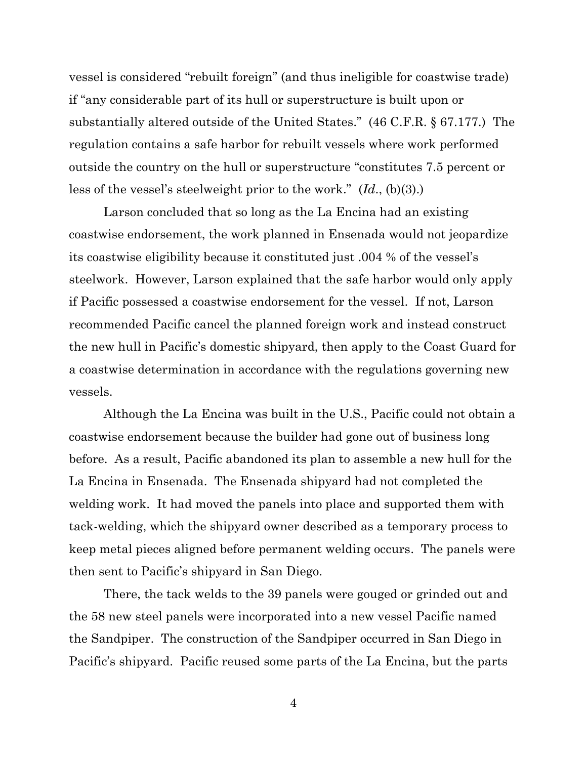vessel is considered "rebuilt foreign" (and thus ineligible for coastwise trade) if "any considerable part of its hull or superstructure is built upon or substantially altered outside of the United States." (46 C.F.R. § 67.177.) The regulation contains a safe harbor for rebuilt vessels where work performed outside the country on the hull or superstructure "constitutes 7.5 percent or less of the vessel's steelweight prior to the work." (*Id*., (b)(3).)

Larson concluded that so long as the La Encina had an existing coastwise endorsement, the work planned in Ensenada would not jeopardize its coastwise eligibility because it constituted just .004 % of the vessel's steelwork. However, Larson explained that the safe harbor would only apply if Pacific possessed a coastwise endorsement for the vessel. If not, Larson recommended Pacific cancel the planned foreign work and instead construct the new hull in Pacific's domestic shipyard, then apply to the Coast Guard for a coastwise determination in accordance with the regulations governing new vessels.

Although the La Encina was built in the U.S., Pacific could not obtain a coastwise endorsement because the builder had gone out of business long before. As a result, Pacific abandoned its plan to assemble a new hull for the La Encina in Ensenada. The Ensenada shipyard had not completed the welding work. It had moved the panels into place and supported them with tack-welding, which the shipyard owner described as a temporary process to keep metal pieces aligned before permanent welding occurs. The panels were then sent to Pacific's shipyard in San Diego.

There, the tack welds to the 39 panels were gouged or grinded out and the 58 new steel panels were incorporated into a new vessel Pacific named the Sandpiper. The construction of the Sandpiper occurred in San Diego in Pacific's shipyard. Pacific reused some parts of the La Encina, but the parts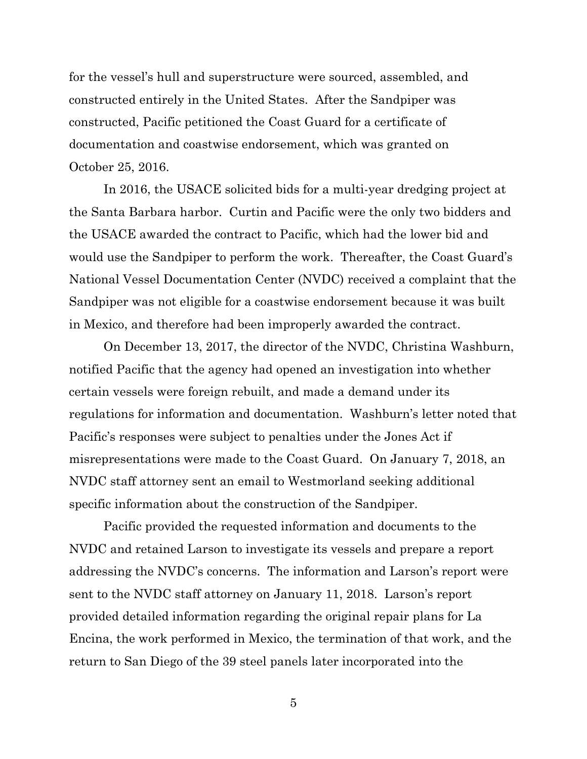for the vessel's hull and superstructure were sourced, assembled, and constructed entirely in the United States. After the Sandpiper was constructed, Pacific petitioned the Coast Guard for a certificate of documentation and coastwise endorsement, which was granted on October 25, 2016.

In 2016, the USACE solicited bids for a multi-year dredging project at the Santa Barbara harbor. Curtin and Pacific were the only two bidders and the USACE awarded the contract to Pacific, which had the lower bid and would use the Sandpiper to perform the work. Thereafter, the Coast Guard's National Vessel Documentation Center (NVDC) received a complaint that the Sandpiper was not eligible for a coastwise endorsement because it was built in Mexico, and therefore had been improperly awarded the contract.

On December 13, 2017, the director of the NVDC, Christina Washburn, notified Pacific that the agency had opened an investigation into whether certain vessels were foreign rebuilt, and made a demand under its regulations for information and documentation. Washburn's letter noted that Pacific's responses were subject to penalties under the Jones Act if misrepresentations were made to the Coast Guard. On January 7, 2018, an NVDC staff attorney sent an email to Westmorland seeking additional specific information about the construction of the Sandpiper.

Pacific provided the requested information and documents to the NVDC and retained Larson to investigate its vessels and prepare a report addressing the NVDC's concerns. The information and Larson's report were sent to the NVDC staff attorney on January 11, 2018. Larson's report provided detailed information regarding the original repair plans for La Encina, the work performed in Mexico, the termination of that work, and the return to San Diego of the 39 steel panels later incorporated into the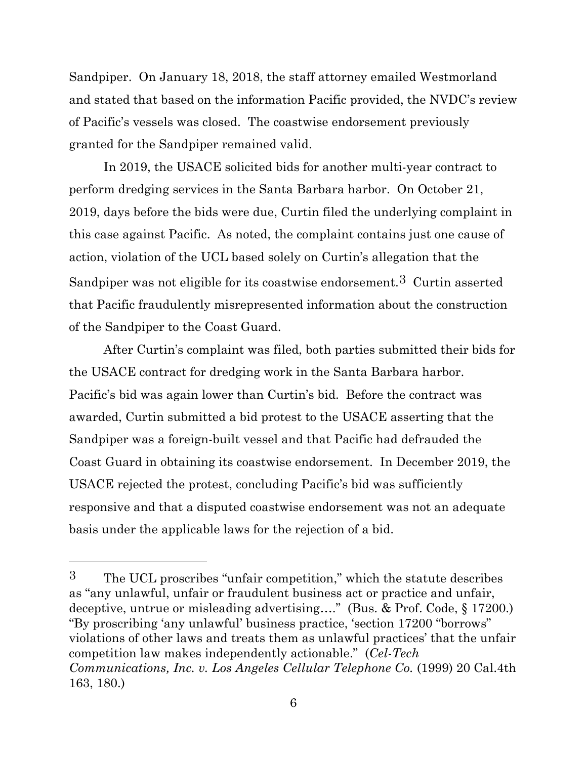Sandpiper. On January 18, 2018, the staff attorney emailed Westmorland and stated that based on the information Pacific provided, the NVDC's review of Pacific's vessels was closed. The coastwise endorsement previously granted for the Sandpiper remained valid.

In 2019, the USACE solicited bids for another multi-year contract to perform dredging services in the Santa Barbara harbor. On October 21, 2019, days before the bids were due, Curtin filed the underlying complaint in this case against Pacific. As noted, the complaint contains just one cause of action, violation of the UCL based solely on Curtin's allegation that the Sandpiper was not eligible for its coastwise endorsement.3 Curtin asserted that Pacific fraudulently misrepresented information about the construction of the Sandpiper to the Coast Guard.

After Curtin's complaint was filed, both parties submitted their bids for the USACE contract for dredging work in the Santa Barbara harbor. Pacific's bid was again lower than Curtin's bid. Before the contract was awarded, Curtin submitted a bid protest to the USACE asserting that the Sandpiper was a foreign-built vessel and that Pacific had defrauded the Coast Guard in obtaining its coastwise endorsement. In December 2019, the USACE rejected the protest, concluding Pacific's bid was sufficiently responsive and that a disputed coastwise endorsement was not an adequate basis under the applicable laws for the rejection of a bid.

<sup>3</sup> The UCL proscribes "unfair competition," which the statute describes as "any unlawful, unfair or fraudulent business act or practice and unfair, deceptive, untrue or misleading advertising…." (Bus. & Prof. Code, § 17200.) "By proscribing 'any unlawful' business practice, 'section 17200 "borrows" violations of other laws and treats them as unlawful practices' that the unfair competition law makes independently actionable." (*Cel-Tech Communications, Inc. v. Los Angeles Cellular Telephone Co.* (1999) 20 Cal.4th 163, 180.)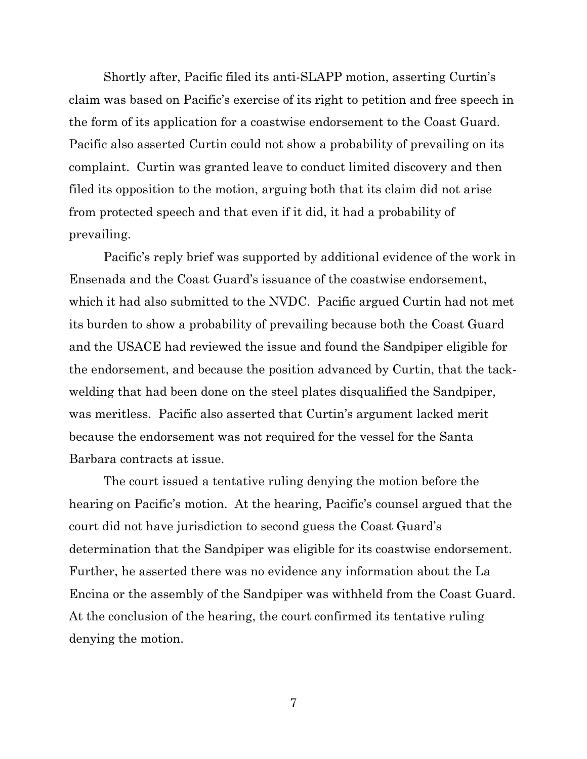Shortly after, Pacific filed its anti-SLAPP motion, asserting Curtin's claim was based on Pacific's exercise of its right to petition and free speech in the form of its application for a coastwise endorsement to the Coast Guard. Pacific also asserted Curtin could not show a probability of prevailing on its complaint. Curtin was granted leave to conduct limited discovery and then filed its opposition to the motion, arguing both that its claim did not arise from protected speech and that even if it did, it had a probability of prevailing.

Pacific's reply brief was supported by additional evidence of the work in Ensenada and the Coast Guard's issuance of the coastwise endorsement, which it had also submitted to the NVDC. Pacific argued Curtin had not met its burden to show a probability of prevailing because both the Coast Guard and the USACE had reviewed the issue and found the Sandpiper eligible for the endorsement, and because the position advanced by Curtin, that the tackwelding that had been done on the steel plates disqualified the Sandpiper, was meritless. Pacific also asserted that Curtin's argument lacked merit because the endorsement was not required for the vessel for the Santa Barbara contracts at issue.

The court issued a tentative ruling denying the motion before the hearing on Pacific's motion. At the hearing, Pacific's counsel argued that the court did not have jurisdiction to second guess the Coast Guard's determination that the Sandpiper was eligible for its coastwise endorsement. Further, he asserted there was no evidence any information about the La Encina or the assembly of the Sandpiper was withheld from the Coast Guard. At the conclusion of the hearing, the court confirmed its tentative ruling denying the motion.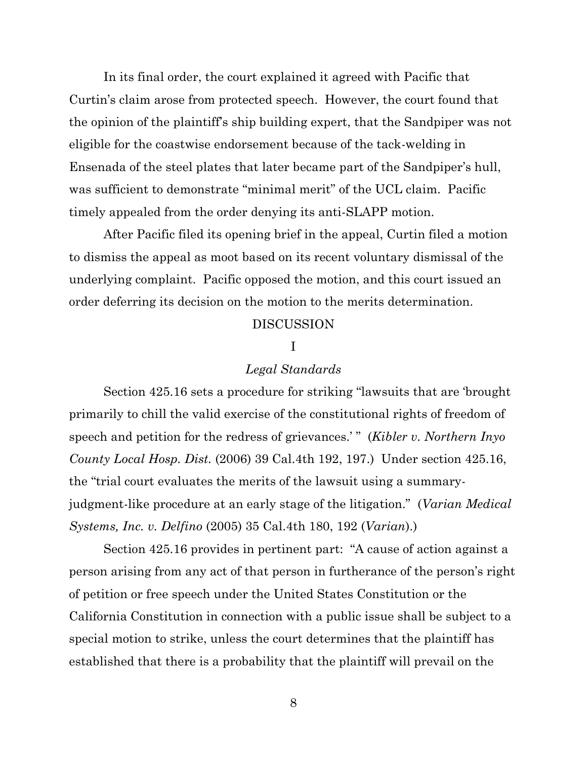In its final order, the court explained it agreed with Pacific that Curtin's claim arose from protected speech. However, the court found that the opinion of the plaintiff's ship building expert, that the Sandpiper was not eligible for the coastwise endorsement because of the tack-welding in Ensenada of the steel plates that later became part of the Sandpiper's hull, was sufficient to demonstrate "minimal merit" of the UCL claim. Pacific timely appealed from the order denying its anti-SLAPP motion.

After Pacific filed its opening brief in the appeal, Curtin filed a motion to dismiss the appeal as moot based on its recent voluntary dismissal of the underlying complaint. Pacific opposed the motion, and this court issued an order deferring its decision on the motion to the merits determination.

#### DISCUSSION

### I

#### *Legal Standards*

Section 425.16 sets a procedure for striking "lawsuits that are 'brought primarily to chill the valid exercise of the constitutional rights of freedom of speech and petition for the redress of grievances.' " (*Kibler v. Northern Inyo County Local Hosp. Dist.* (2006) 39 Cal.4th 192, 197.) Under section 425.16, the "trial court evaluates the merits of the lawsuit using a summaryjudgment-like procedure at an early stage of the litigation." (*Varian Medical Systems, Inc. v. Delfino* (2005) 35 Cal.4th 180, 192 (*Varian*).)

Section 425.16 provides in pertinent part: "A cause of action against a person arising from any act of that person in furtherance of the person's right of petition or free speech under the United States Constitution or the California Constitution in connection with a public issue shall be subject to a special motion to strike, unless the court determines that the plaintiff has established that there is a probability that the plaintiff will prevail on the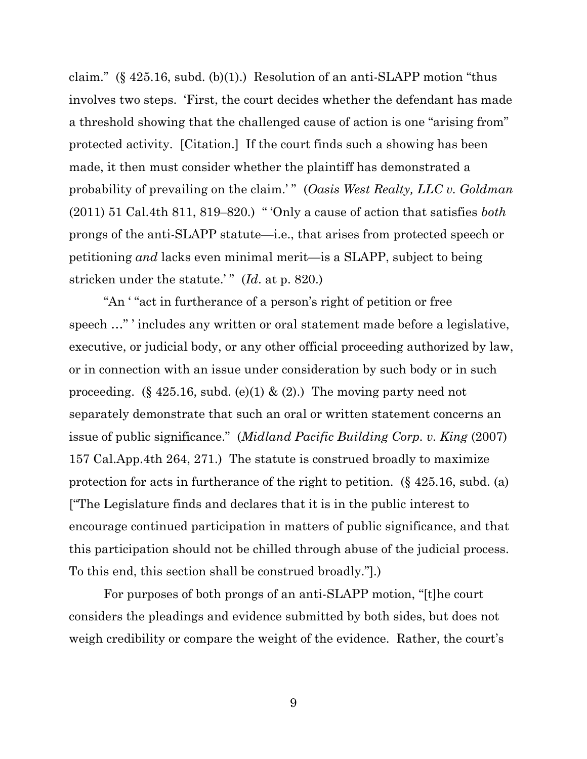claim." (§ 425.16, subd. (b)(1).) Resolution of an anti-SLAPP motion "thus involves two steps. 'First, the court decides whether the defendant has made a threshold showing that the challenged cause of action is one "arising from" protected activity. [Citation.] If the court finds such a showing has been made, it then must consider whether the plaintiff has demonstrated a probability of prevailing on the claim.' " (*Oasis West Realty, LLC v. Goldman* (2011) 51 Cal.4th 811, 819‒820.) " 'Only a cause of action that satisfies *both* prongs of the anti-SLAPP statute—i.e., that arises from protected speech or petitioning *and* lacks even minimal merit—is a SLAPP, subject to being stricken under the statute.'" (*Id.* at p. 820.)

"An ' "act in furtherance of a person's right of petition or free speech …" ' includes any written or oral statement made before a legislative, executive, or judicial body, or any other official proceeding authorized by law, or in connection with an issue under consideration by such body or in such proceeding. (§ 425.16, subd. (e)(1) & (2).) The moving party need not separately demonstrate that such an oral or written statement concerns an issue of public significance." (*Midland Pacific Building Corp. v. King* (2007) 157 Cal.App.4th 264, 271.) The statute is construed broadly to maximize protection for acts in furtherance of the right to petition. (§ 425.16, subd. (a) ["The Legislature finds and declares that it is in the public interest to encourage continued participation in matters of public significance, and that this participation should not be chilled through abuse of the judicial process. To this end, this section shall be construed broadly."].)

For purposes of both prongs of an anti-SLAPP motion, "[t]he court considers the pleadings and evidence submitted by both sides, but does not weigh credibility or compare the weight of the evidence. Rather, the court's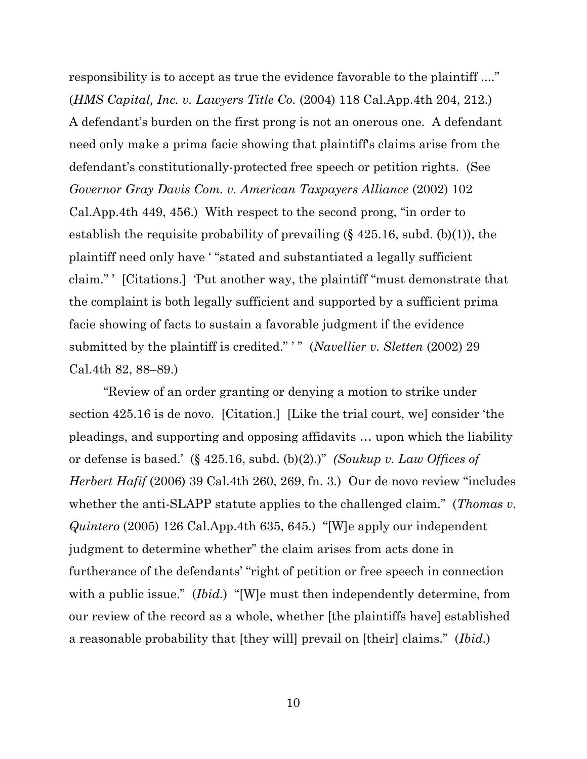responsibility is to accept as true the evidence favorable to the plaintiff ...." (*HMS Capital, Inc. v. Lawyers Title Co.* (2004) 118 Cal.App.4th 204, 212.) A defendant's burden on the first prong is not an onerous one. A defendant need only make a prima facie showing that plaintiff's claims arise from the defendant's constitutionally-protected free speech or petition rights. (See *Governor Gray Davis Com. v. American Taxpayers Alliance* (2002) 102 Cal.App.4th 449, 456.) With respect to the second prong, "in order to establish the requisite probability of prevailing  $(\S 425.16, \text{subd}, (b)(1))$ , the plaintiff need only have ' "stated and substantiated a legally sufficient claim." ' [Citations.] 'Put another way, the plaintiff "must demonstrate that the complaint is both legally sufficient and supported by a sufficient prima facie showing of facts to sustain a favorable judgment if the evidence submitted by the plaintiff is credited." '" (*Navellier v. Sletten* (2002) 29 Cal.4th 82, 88–89.)

"Review of an order granting or denying a motion to strike under section 425.16 is de novo. [Citation.] [Like the trial court, we] consider 'the pleadings, and supporting and opposing affidavits … upon which the liability or defense is based.' (§ 425.16, subd. (b)(2).)" *(Soukup v. Law Offices of Herbert Hafif* (2006) 39 Cal.4th 260, 269, fn. 3.) Our de novo review "includes whether the anti-SLAPP statute applies to the challenged claim." (*Thomas v. Quintero* (2005) 126 Cal.App.4th 635, 645.) "[W]e apply our independent judgment to determine whether" the claim arises from acts done in furtherance of the defendants' "right of petition or free speech in connection with a public issue." *(Ibid.)* "[W]e must then independently determine, from our review of the record as a whole, whether [the plaintiffs have] established a reasonable probability that [they will] prevail on [their] claims." (*Ibid.*)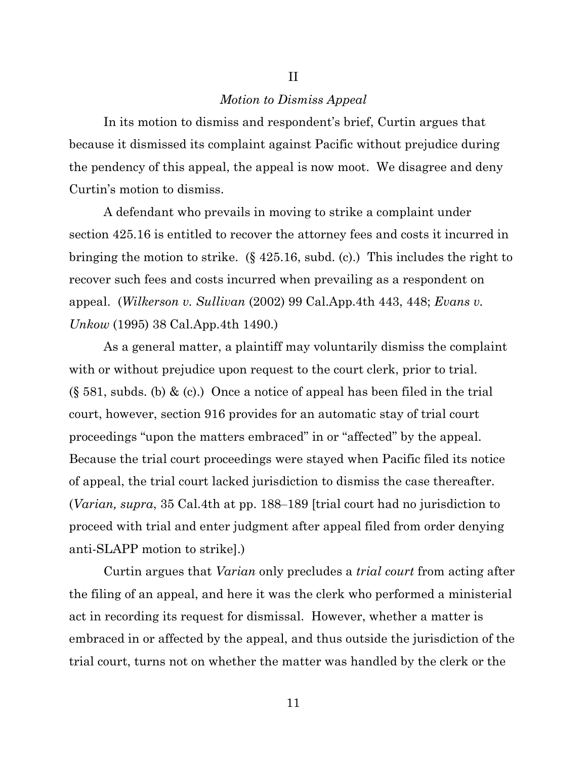#### *Motion to Dismiss Appeal*

II

In its motion to dismiss and respondent's brief, Curtin argues that because it dismissed its complaint against Pacific without prejudice during the pendency of this appeal, the appeal is now moot. We disagree and deny Curtin's motion to dismiss.

A defendant who prevails in moving to strike a complaint under section 425.16 is entitled to recover the attorney fees and costs it incurred in bringing the motion to strike. (§ 425.16, subd. (c).) This includes the right to recover such fees and costs incurred when prevailing as a respondent on appeal. (*Wilkerson v. Sullivan* (2002) 99 Cal.App.4th 443, 448; *Evans v. Unkow* (1995) 38 Cal.App.4th 1490.)

As a general matter, a plaintiff may voluntarily dismiss the complaint with or without prejudice upon request to the court clerk, prior to trial.  $(\S 581, \text{subds. (b) & (c).})$  Once a notice of appeal has been filed in the trial court, however, section 916 provides for an automatic stay of trial court proceedings "upon the matters embraced" in or "affected" by the appeal. Because the trial court proceedings were stayed when Pacific filed its notice of appeal, the trial court lacked jurisdiction to dismiss the case thereafter. (*Varian, supra*, 35 Cal.4th at pp. 188‒189 [trial court had no jurisdiction to proceed with trial and enter judgment after appeal filed from order denying anti-SLAPP motion to strike].)

Curtin argues that *Varian* only precludes a *trial court* from acting after the filing of an appeal, and here it was the clerk who performed a ministerial act in recording its request for dismissal. However, whether a matter is embraced in or affected by the appeal, and thus outside the jurisdiction of the trial court, turns not on whether the matter was handled by the clerk or the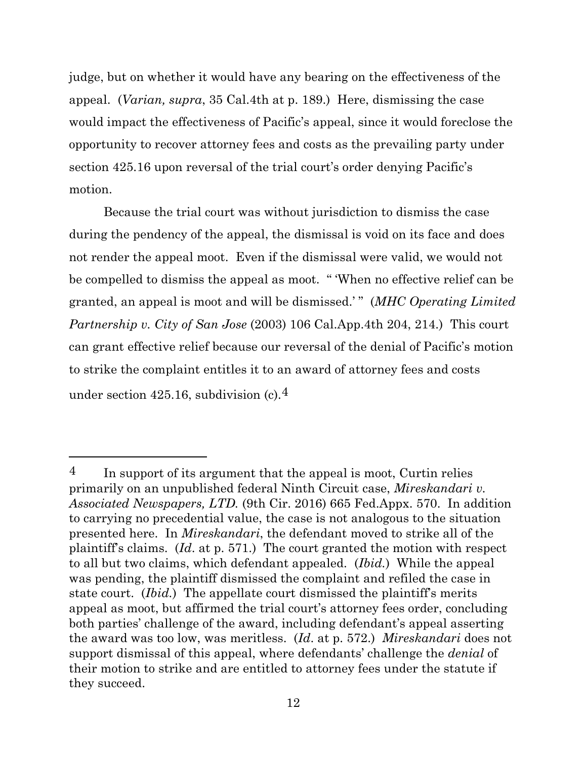judge, but on whether it would have any bearing on the effectiveness of the appeal. (*Varian, supra*, 35 Cal.4th at p. 189.) Here, dismissing the case would impact the effectiveness of Pacific's appeal, since it would foreclose the opportunity to recover attorney fees and costs as the prevailing party under section 425.16 upon reversal of the trial court's order denying Pacific's motion.

Because the trial court was without jurisdiction to dismiss the case during the pendency of the appeal, the dismissal is void on its face and does not render the appeal moot. Even if the dismissal were valid, we would not be compelled to dismiss the appeal as moot. " 'When no effective relief can be granted, an appeal is moot and will be dismissed.' " (*MHC Operating Limited Partnership v. City of San Jose* (2003) 106 Cal.App.4th 204, 214.) This court can grant effective relief because our reversal of the denial of Pacific's motion to strike the complaint entitles it to an award of attorney fees and costs under section 425.16, subdivision (c).4

<sup>&</sup>lt;sup>4</sup> In support of its argument that the appeal is moot, Curtin relies primarily on an unpublished federal Ninth Circuit case, *Mireskandari v. Associated Newspapers, LTD.* (9th Cir. 2016) 665 Fed.Appx. 570. In addition to carrying no precedential value, the case is not analogous to the situation presented here. In *Mireskandari*, the defendant moved to strike all of the plaintiff's claims. (*Id*. at p. 571.) The court granted the motion with respect to all but two claims, which defendant appealed. (*Ibid.*) While the appeal was pending, the plaintiff dismissed the complaint and refiled the case in state court. (*Ibid.*) The appellate court dismissed the plaintiff's merits appeal as moot, but affirmed the trial court's attorney fees order, concluding both parties' challenge of the award, including defendant's appeal asserting the award was too low, was meritless. (*Id*. at p. 572.) *Mireskandari* does not support dismissal of this appeal, where defendants' challenge the *denial* of their motion to strike and are entitled to attorney fees under the statute if they succeed.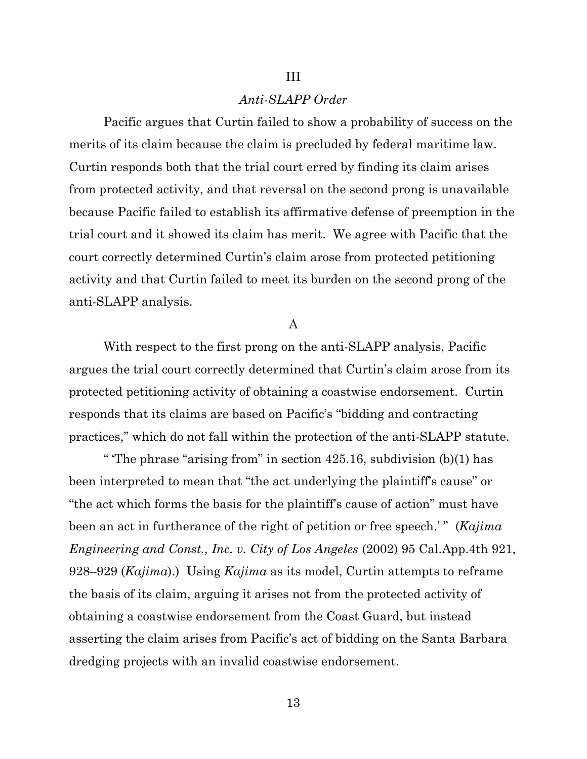#### *Anti-SLAPP Order*

III

Pacific argues that Curtin failed to show a probability of success on the merits of its claim because the claim is precluded by federal maritime law. Curtin responds both that the trial court erred by finding its claim arises from protected activity, and that reversal on the second prong is unavailable because Pacific failed to establish its affirmative defense of preemption in the trial court and it showed its claim has merit. We agree with Pacific that the court correctly determined Curtin's claim arose from protected petitioning activity and that Curtin failed to meet its burden on the second prong of the anti-SLAPP analysis.

A

With respect to the first prong on the anti-SLAPP analysis, Pacific argues the trial court correctly determined that Curtin's claim arose from its protected petitioning activity of obtaining a coastwise endorsement. Curtin responds that its claims are based on Pacific's "bidding and contracting practices," which do not fall within the protection of the anti-SLAPP statute.

" 'The phrase "arising from" in section 425.16, subdivision (b)(1) has been interpreted to mean that "the act underlying the plaintiff's cause" or "the act which forms the basis for the plaintiff's cause of action" must have been an act in furtherance of the right of petition or free speech.'" (*Kajima Engineering and Const., Inc. v. City of Los Angeles* (2002) 95 Cal.App.4th 921, 928–929 (*Kajima*).) Using *Kajima* as its model, Curtin attempts to reframe the basis of its claim, arguing it arises not from the protected activity of obtaining a coastwise endorsement from the Coast Guard, but instead asserting the claim arises from Pacific's act of bidding on the Santa Barbara dredging projects with an invalid coastwise endorsement.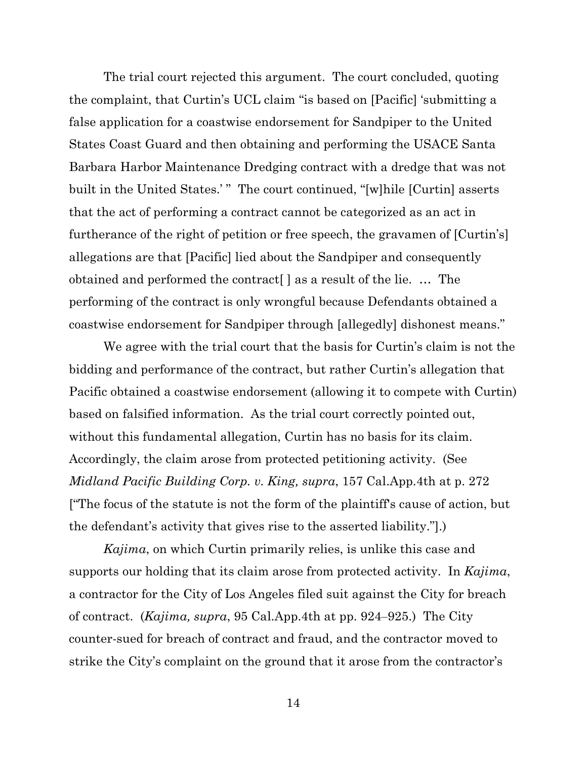The trial court rejected this argument. The court concluded, quoting the complaint, that Curtin's UCL claim "is based on [Pacific] 'submitting a false application for a coastwise endorsement for Sandpiper to the United States Coast Guard and then obtaining and performing the USACE Santa Barbara Harbor Maintenance Dredging contract with a dredge that was not built in the United States.' "The court continued, "[w]hile [Curtin] asserts that the act of performing a contract cannot be categorized as an act in furtherance of the right of petition or free speech, the gravamen of [Curtin's] allegations are that [Pacific] lied about the Sandpiper and consequently obtained and performed the contract[ ] as a result of the lie. … The performing of the contract is only wrongful because Defendants obtained a coastwise endorsement for Sandpiper through [allegedly] dishonest means."

We agree with the trial court that the basis for Curtin's claim is not the bidding and performance of the contract, but rather Curtin's allegation that Pacific obtained a coastwise endorsement (allowing it to compete with Curtin) based on falsified information. As the trial court correctly pointed out, without this fundamental allegation, Curtin has no basis for its claim. Accordingly, the claim arose from protected petitioning activity. (See *Midland Pacific Building Corp. v. King, supra*, 157 Cal.App.4th at p. 272 ["The focus of the statute is not the form of the plaintiff's cause of action, but the defendant's activity that gives rise to the asserted liability."].)

*Kajima*, on which Curtin primarily relies, is unlike this case and supports our holding that its claim arose from protected activity. In *Kajima*, a contractor for the City of Los Angeles filed suit against the City for breach of contract. (*Kajima, supra*, 95 Cal.App.4th at pp. 924‒925.) The City counter-sued for breach of contract and fraud, and the contractor moved to strike the City's complaint on the ground that it arose from the contractor's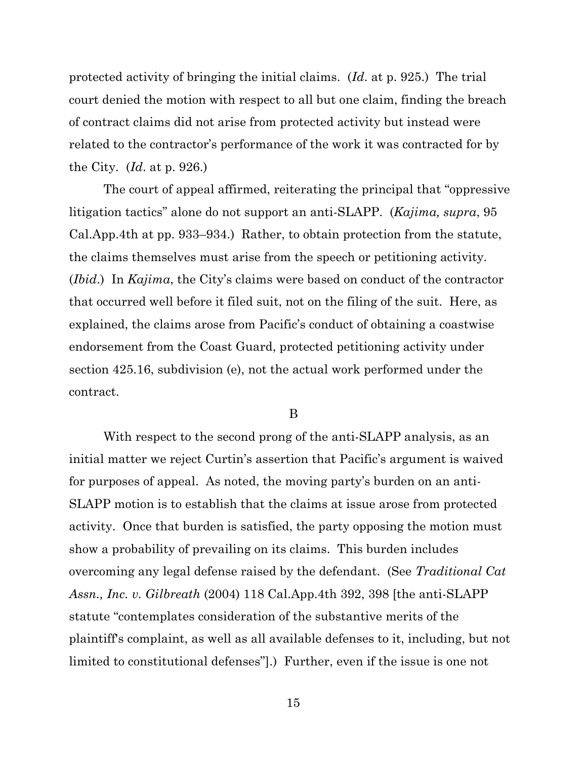protected activity of bringing the initial claims. (*Id*. at p. 925.) The trial court denied the motion with respect to all but one claim, finding the breach of contract claims did not arise from protected activity but instead were related to the contractor's performance of the work it was contracted for by the City. (*Id*. at p. 926.)

The court of appeal affirmed, reiterating the principal that "oppressive litigation tactics" alone do not support an anti-SLAPP. (*Kajima, supra*, 95 Cal.App.4th at pp. 933–934.) Rather, to obtain protection from the statute, the claims themselves must arise from the speech or petitioning activity. (*Ibid*.) In *Kajima*, the City's claims were based on conduct of the contractor that occurred well before it filed suit, not on the filing of the suit. Here, as explained, the claims arose from Pacific's conduct of obtaining a coastwise endorsement from the Coast Guard, protected petitioning activity under section 425.16, subdivision (e), not the actual work performed under the contract.

#### B

With respect to the second prong of the anti-SLAPP analysis, as an initial matter we reject Curtin's assertion that Pacific's argument is waived for purposes of appeal. As noted, the moving party's burden on an anti-SLAPP motion is to establish that the claims at issue arose from protected activity. Once that burden is satisfied, the party opposing the motion must show a probability of prevailing on its claims. This burden includes overcoming any legal defense raised by the defendant. (See *Traditional Cat Assn., Inc. v. Gilbreath* (2004) 118 Cal.App.4th 392, 398 [the anti-SLAPP statute "contemplates consideration of the substantive merits of the plaintiff's complaint, as well as all available defenses to it, including, but not limited to constitutional defenses"].) Further, even if the issue is one not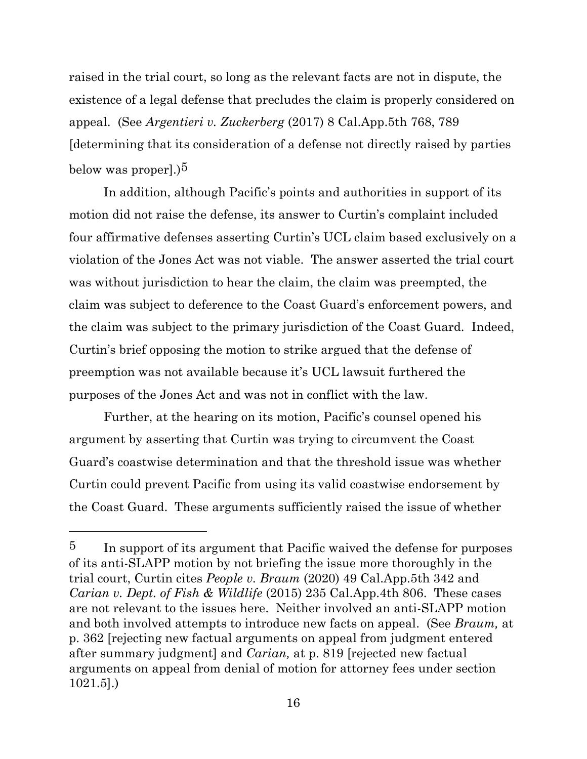raised in the trial court, so long as the relevant facts are not in dispute, the existence of a legal defense that precludes the claim is properly considered on appeal. (See *Argentieri v. Zuckerberg* (2017) 8 Cal.App.5th 768, 789 [determining that its consideration of a defense not directly raised by parties below was proper].) $5$ 

In addition, although Pacific's points and authorities in support of its motion did not raise the defense, its answer to Curtin's complaint included four affirmative defenses asserting Curtin's UCL claim based exclusively on a violation of the Jones Act was not viable. The answer asserted the trial court was without jurisdiction to hear the claim, the claim was preempted, the claim was subject to deference to the Coast Guard's enforcement powers, and the claim was subject to the primary jurisdiction of the Coast Guard. Indeed, Curtin's brief opposing the motion to strike argued that the defense of preemption was not available because it's UCL lawsuit furthered the purposes of the Jones Act and was not in conflict with the law.

Further, at the hearing on its motion, Pacific's counsel opened his argument by asserting that Curtin was trying to circumvent the Coast Guard's coastwise determination and that the threshold issue was whether Curtin could prevent Pacific from using its valid coastwise endorsement by the Coast Guard. These arguments sufficiently raised the issue of whether

<sup>&</sup>lt;sup>5</sup> In support of its argument that Pacific waived the defense for purposes of its anti-SLAPP motion by not briefing the issue more thoroughly in the trial court, Curtin cites *People v. Braum* (2020) 49 Cal.App.5th 342 and *Carian v. Dept. of Fish & Wildlife* (2015) 235 Cal.App.4th 806. These cases are not relevant to the issues here. Neither involved an anti-SLAPP motion and both involved attempts to introduce new facts on appeal. (See *Braum,* at p. 362 [rejecting new factual arguments on appeal from judgment entered after summary judgment] and *Carian,* at p. 819 [rejected new factual arguments on appeal from denial of motion for attorney fees under section 1021.5].)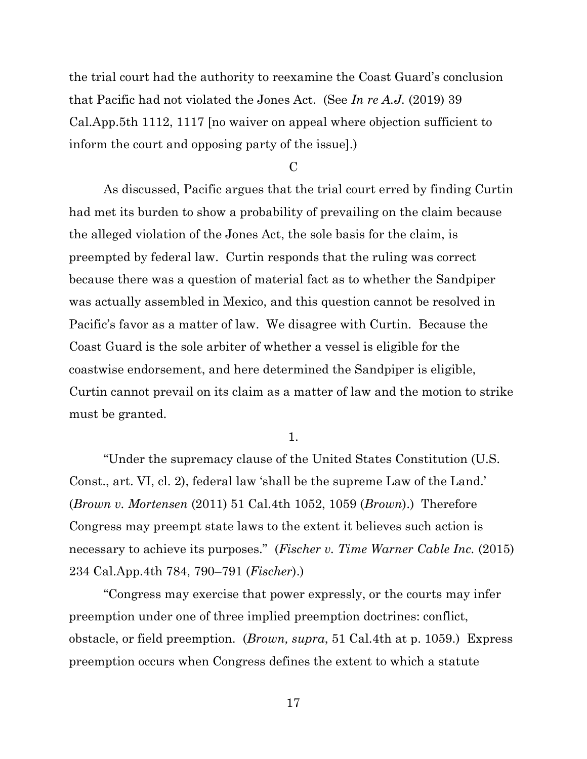the trial court had the authority to reexamine the Coast Guard's conclusion that Pacific had not violated the Jones Act. (See *In re A.J.* (2019) 39 Cal.App.5th 1112, 1117 [no waiver on appeal where objection sufficient to inform the court and opposing party of the issue].)

 $\overline{C}$ 

As discussed, Pacific argues that the trial court erred by finding Curtin had met its burden to show a probability of prevailing on the claim because the alleged violation of the Jones Act, the sole basis for the claim, is preempted by federal law. Curtin responds that the ruling was correct because there was a question of material fact as to whether the Sandpiper was actually assembled in Mexico, and this question cannot be resolved in Pacific's favor as a matter of law. We disagree with Curtin. Because the Coast Guard is the sole arbiter of whether a vessel is eligible for the coastwise endorsement, and here determined the Sandpiper is eligible, Curtin cannot prevail on its claim as a matter of law and the motion to strike must be granted.

1.

"Under the supremacy clause of the United States Constitution (U.S. Const., art. VI, cl. 2), federal law 'shall be the supreme Law of the Land.' (*Brown v. Mortensen* (2011) 51 Cal.4th 1052, 1059 (*Brown*).) Therefore Congress may preempt state laws to the extent it believes such action is necessary to achieve its purposes." (*Fischer v. Time Warner Cable Inc.* (2015) 234 Cal.App.4th 784, 790–791 (*Fischer*).)

"Congress may exercise that power expressly, or the courts may infer preemption under one of three implied preemption doctrines: conflict, obstacle, or field preemption. (*Brown, supra*, 51 Cal.4th at p. 1059.) Express preemption occurs when Congress defines the extent to which a statute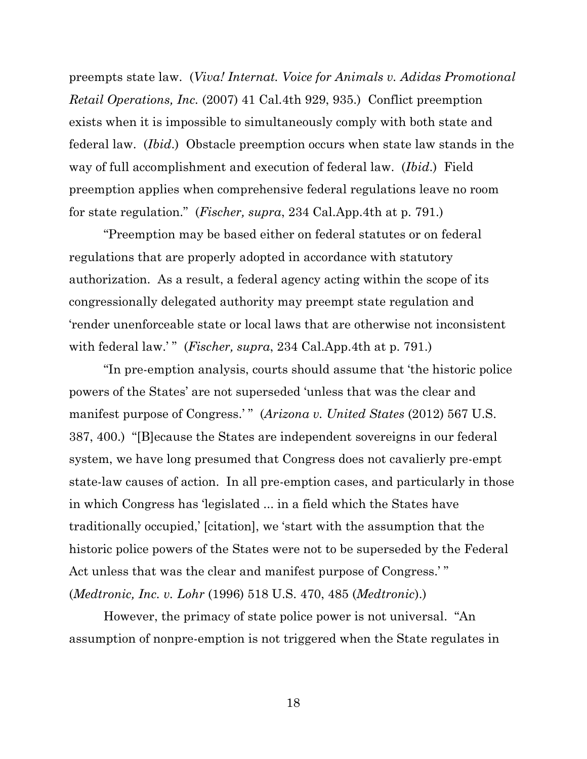preempts state law. (*Viva! Internat. Voice for Animals v. Adidas Promotional Retail Operations, Inc.* (2007) 41 Cal.4th 929, 935.) Conflict preemption exists when it is impossible to simultaneously comply with both state and federal law. (*Ibid*.) Obstacle preemption occurs when state law stands in the way of full accomplishment and execution of federal law. (*Ibid*.) Field preemption applies when comprehensive federal regulations leave no room for state regulation." (*Fischer, supra*, 234 Cal.App.4th at p. 791.)

"Preemption may be based either on federal statutes or on federal regulations that are properly adopted in accordance with statutory authorization. As a result, a federal agency acting within the scope of its congressionally delegated authority may preempt state regulation and 'render unenforceable state or local laws that are otherwise not inconsistent with federal law.'" (*Fischer, supra,* 234 Cal.App.4th at p. 791.)

"In pre-emption analysis, courts should assume that 'the historic police powers of the States' are not superseded 'unless that was the clear and manifest purpose of Congress.'" (Arizona v. United States (2012) 567 U.S. 387, 400.) "[B]ecause the States are independent sovereigns in our federal system, we have long presumed that Congress does not cavalierly pre-empt state-law causes of action. In all pre-emption cases, and particularly in those in which Congress has 'legislated ... in a field which the States have traditionally occupied,' [citation], we 'start with the assumption that the historic police powers of the States were not to be superseded by the Federal Act unless that was the clear and manifest purpose of Congress.'" (*Medtronic, Inc. v. Lohr* (1996) 518 U.S. 470, 485 (*Medtronic*).)

However, the primacy of state police power is not universal. "An assumption of nonpre-emption is not triggered when the State regulates in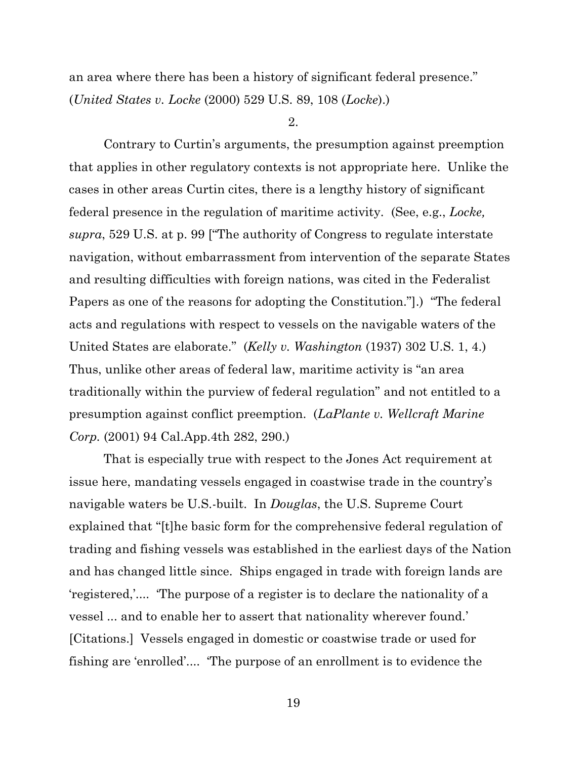an area where there has been a history of significant federal presence." (*United States v. Locke* (2000) 529 U.S. 89, 108 (*Locke*).)

2.

Contrary to Curtin's arguments, the presumption against preemption that applies in other regulatory contexts is not appropriate here. Unlike the cases in other areas Curtin cites, there is a lengthy history of significant federal presence in the regulation of maritime activity. (See, e.g., *Locke, supra*, 529 U.S. at p. 99 ["The authority of Congress to regulate interstate navigation, without embarrassment from intervention of the separate States and resulting difficulties with foreign nations, was cited in the Federalist Papers as one of the reasons for adopting the Constitution."].) "The federal acts and regulations with respect to vessels on the navigable waters of the United States are elaborate." (*Kelly v. Washington* (1937) 302 U.S. 1, 4.) Thus, unlike other areas of federal law, maritime activity is "an area traditionally within the purview of federal regulation" and not entitled to a presumption against conflict preemption. (*LaPlante v. Wellcraft Marine Corp.* (2001) 94 Cal.App.4th 282, 290.)

That is especially true with respect to the Jones Act requirement at issue here, mandating vessels engaged in coastwise trade in the country's navigable waters be U.S.-built. In *Douglas*, the U.S. Supreme Court explained that "[t]he basic form for the comprehensive federal regulation of trading and fishing vessels was established in the earliest days of the Nation and has changed little since. Ships engaged in trade with foreign lands are 'registered,'.... 'The purpose of a register is to declare the nationality of a vessel ... and to enable her to assert that nationality wherever found.' [Citations.] Vessels engaged in domestic or coastwise trade or used for fishing are 'enrolled'.... 'The purpose of an enrollment is to evidence the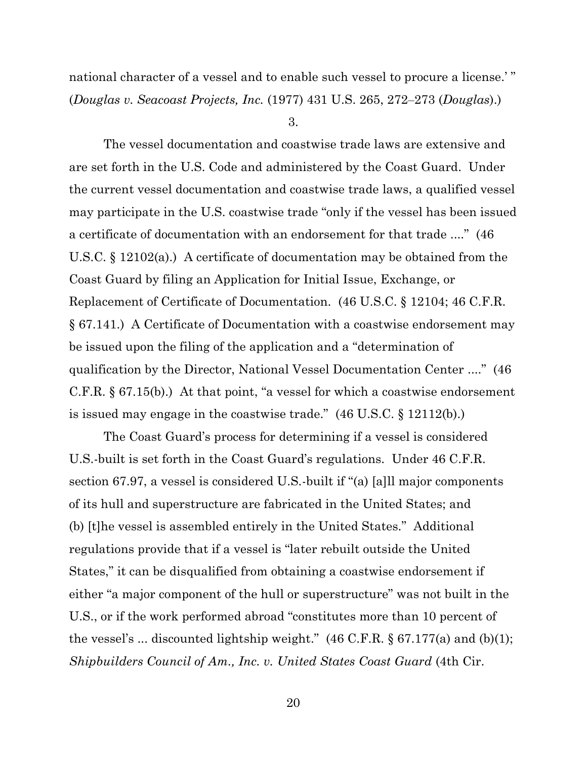national character of a vessel and to enable such vessel to procure a license.' " (*Douglas v. Seacoast Projects, Inc.* (1977) 431 U.S. 265, 272‒273 (*Douglas*).)

3.

The vessel documentation and coastwise trade laws are extensive and are set forth in the U.S. Code and administered by the Coast Guard. Under the current vessel documentation and coastwise trade laws, a qualified vessel may participate in the U.S. coastwise trade "only if the vessel has been issued a certificate of documentation with an endorsement for that trade ...." (46 U.S.C. § 12102(a).) A certificate of documentation may be obtained from the Coast Guard by filing an Application for Initial Issue, Exchange, or Replacement of Certificate of Documentation. (46 U.S.C. § 12104; 46 C.F.R. § 67.141.) A Certificate of Documentation with a coastwise endorsement may be issued upon the filing of the application and a "determination of qualification by the Director, National Vessel Documentation Center ...." (46 C.F.R. § 67.15(b).) At that point, "a vessel for which a coastwise endorsement is issued may engage in the coastwise trade." (46 U.S.C. § 12112(b).)

The Coast Guard's process for determining if a vessel is considered U.S.-built is set forth in the Coast Guard's regulations. Under 46 C.F.R. section 67.97, a vessel is considered U.S.-built if "(a) [a]ll major components of its hull and superstructure are fabricated in the United States; and (b) [t]he vessel is assembled entirely in the United States." Additional regulations provide that if a vessel is "later rebuilt outside the United States," it can be disqualified from obtaining a coastwise endorsement if either "a major component of the hull or superstructure" was not built in the U.S., or if the work performed abroad "constitutes more than 10 percent of the vessel's ... discounted lightship weight."  $(46 \text{ C.F.R.} \S 67.177(a)$  and  $(b)(1);$ *Shipbuilders Council of Am., Inc. v. United States Coast Guard* (4th Cir.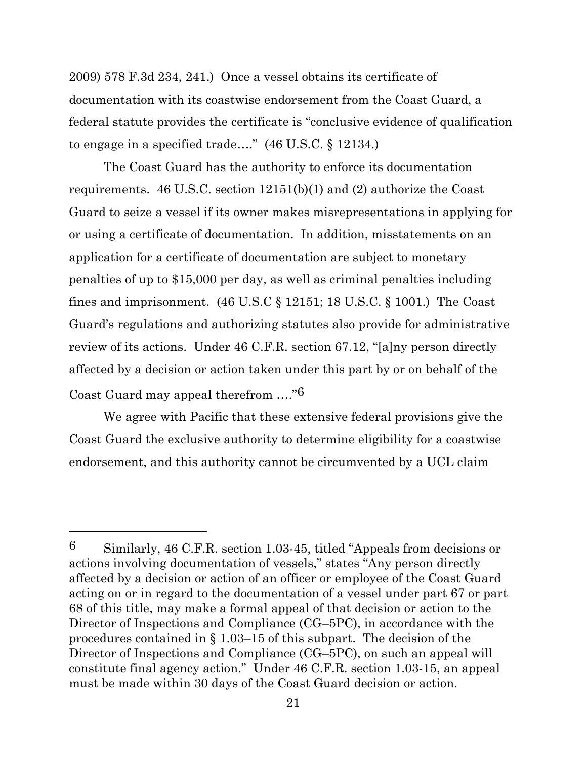2009) 578 F.3d 234, 241.) Once a vessel obtains its certificate of documentation with its coastwise endorsement from the Coast Guard, a federal statute provides the certificate is "conclusive evidence of qualification to engage in a specified trade…." (46 U.S.C. § 12134.)

The Coast Guard has the authority to enforce its documentation requirements. 46 U.S.C. section 12151(b)(1) and (2) authorize the Coast Guard to seize a vessel if its owner makes misrepresentations in applying for or using a certificate of documentation. In addition, misstatements on an application for a certificate of documentation are subject to monetary penalties of up to \$15,000 per day, as well as criminal penalties including fines and imprisonment.  $(46 \text{ U.S.C} \S 12151; 18 \text{ U.S.C.} \S 1001)$  The Coast Guard's regulations and authorizing statutes also provide for administrative review of its actions. Under 46 C.F.R. section 67.12, "[a]ny person directly affected by a decision or action taken under this part by or on behalf of the Coast Guard may appeal therefrom …."6

We agree with Pacific that these extensive federal provisions give the Coast Guard the exclusive authority to determine eligibility for a coastwise endorsement, and this authority cannot be circumvented by a UCL claim

<sup>6</sup> Similarly, 46 C.F.R. section 1.03-45, titled "Appeals from decisions or actions involving documentation of vessels," states "Any person directly affected by a decision or action of an officer or employee of the Coast Guard acting on or in regard to the documentation of a vessel under part 67 or part 68 of this title, may make a formal appeal of that decision or action to the Director of Inspections and Compliance (CG–5PC), in accordance with the procedures contained in § 1.03–15 of this subpart. The decision of the Director of Inspections and Compliance (CG–5PC), on such an appeal will constitute final agency action." Under 46 C.F.R. section 1.03-15, an appeal must be made within 30 days of the Coast Guard decision or action.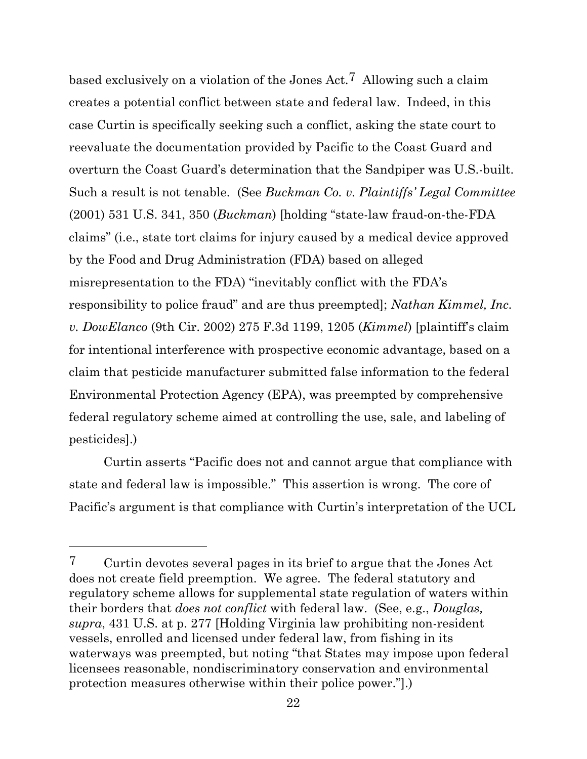based exclusively on a violation of the Jones Act.7 Allowing such a claim creates a potential conflict between state and federal law. Indeed, in this case Curtin is specifically seeking such a conflict, asking the state court to reevaluate the documentation provided by Pacific to the Coast Guard and overturn the Coast Guard's determination that the Sandpiper was U.S.-built. Such a result is not tenable. (See *Buckman Co. v. Plaintiffs' Legal Committee* (2001) 531 U.S. 341, 350 (*Buckman*) [holding "state-law fraud-on-the-FDA claims" (i.e., state tort claims for injury caused by a medical device approved by the Food and Drug Administration (FDA) based on alleged misrepresentation to the FDA) "inevitably conflict with the FDA's responsibility to police fraud" and are thus preempted]; *Nathan Kimmel, Inc. v. DowElanco* (9th Cir. 2002) 275 F.3d 1199, 1205 (*Kimmel*) [plaintiff's claim for intentional interference with prospective economic advantage, based on a claim that pesticide manufacturer submitted false information to the federal Environmental Protection Agency (EPA), was preempted by comprehensive federal regulatory scheme aimed at controlling the use, sale, and labeling of pesticides].)

Curtin asserts "Pacific does not and cannot argue that compliance with state and federal law is impossible." This assertion is wrong. The core of Pacific's argument is that compliance with Curtin's interpretation of the UCL

<sup>7</sup> Curtin devotes several pages in its brief to argue that the Jones Act does not create field preemption. We agree. The federal statutory and regulatory scheme allows for supplemental state regulation of waters within their borders that *does not conflict* with federal law. (See, e.g., *Douglas, supra*, 431 U.S. at p. 277 [Holding Virginia law prohibiting non-resident vessels, enrolled and licensed under federal law, from fishing in its waterways was preempted, but noting "that States may impose upon federal licensees reasonable, nondiscriminatory conservation and environmental protection measures otherwise within their police power."].)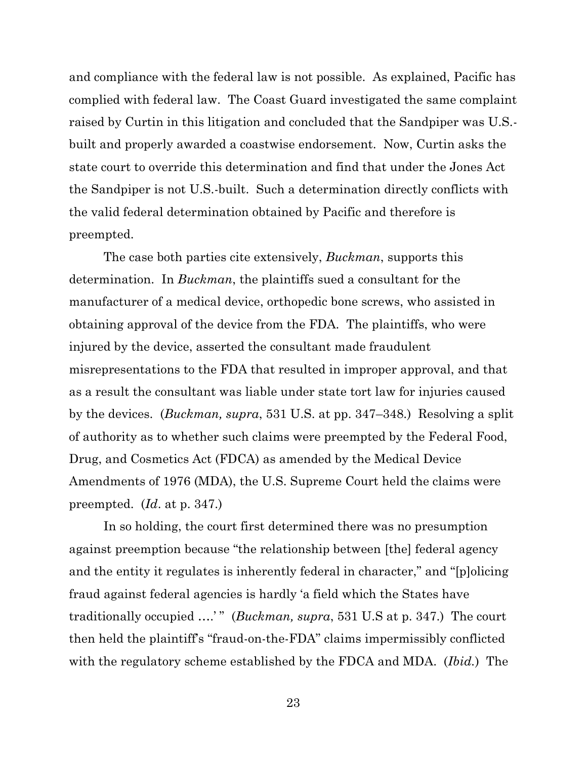and compliance with the federal law is not possible. As explained, Pacific has complied with federal law. The Coast Guard investigated the same complaint raised by Curtin in this litigation and concluded that the Sandpiper was U.S. built and properly awarded a coastwise endorsement. Now, Curtin asks the state court to override this determination and find that under the Jones Act the Sandpiper is not U.S.-built. Such a determination directly conflicts with the valid federal determination obtained by Pacific and therefore is preempted.

The case both parties cite extensively, *Buckman*, supports this determination. In *Buckman*, the plaintiffs sued a consultant for the manufacturer of a medical device, orthopedic bone screws, who assisted in obtaining approval of the device from the FDA. The plaintiffs, who were injured by the device, asserted the consultant made fraudulent misrepresentations to the FDA that resulted in improper approval, and that as a result the consultant was liable under state tort law for injuries caused by the devices. (*Buckman, supra*, 531 U.S. at pp. 347–348.) Resolving a split of authority as to whether such claims were preempted by the Federal Food, Drug, and Cosmetics Act (FDCA) as amended by the Medical Device Amendments of 1976 (MDA), the U.S. Supreme Court held the claims were preempted. (*Id*. at p. 347.)

In so holding, the court first determined there was no presumption against preemption because "the relationship between [the] federal agency and the entity it regulates is inherently federal in character," and "[p]olicing fraud against federal agencies is hardly 'a field which the States have traditionally occupied ....'" (*Buckman, supra*, 531 U.S at p. 347.) The court then held the plaintiff's "fraud-on-the-FDA" claims impermissibly conflicted with the regulatory scheme established by the FDCA and MDA. (*Ibid.*) The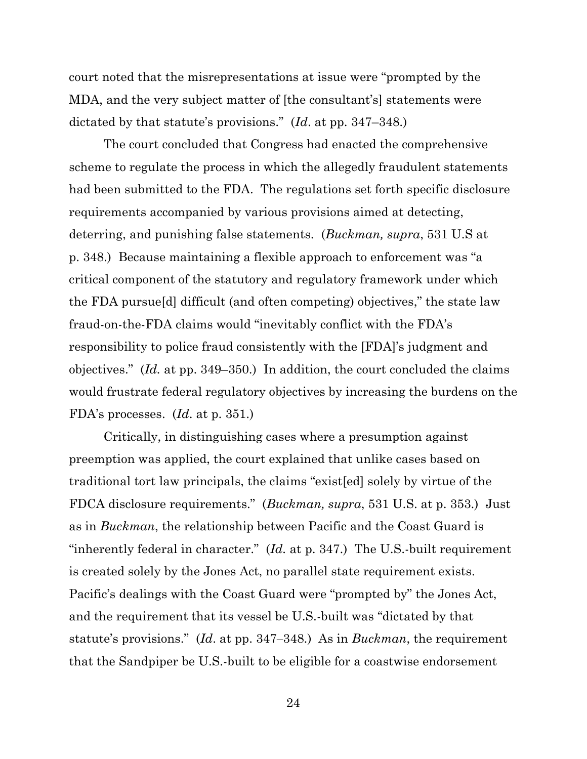court noted that the misrepresentations at issue were "prompted by the MDA, and the very subject matter of [the consultant's] statements were dictated by that statute's provisions." (*Id*. at pp. 347–348.)

The court concluded that Congress had enacted the comprehensive scheme to regulate the process in which the allegedly fraudulent statements had been submitted to the FDA. The regulations set forth specific disclosure requirements accompanied by various provisions aimed at detecting, deterring, and punishing false statements. (*Buckman, supra*, 531 U.S at p. 348.) Because maintaining a flexible approach to enforcement was "a critical component of the statutory and regulatory framework under which the FDA pursue[d] difficult (and often competing) objectives," the state law fraud-on-the-FDA claims would "inevitably conflict with the FDA's responsibility to police fraud consistently with the [FDA]'s judgment and objectives." (*Id.* at pp. 349–350.) In addition, the court concluded the claims would frustrate federal regulatory objectives by increasing the burdens on the FDA's processes. (*Id*. at p. 351.)

Critically, in distinguishing cases where a presumption against preemption was applied, the court explained that unlike cases based on traditional tort law principals, the claims "exist[ed] solely by virtue of the FDCA disclosure requirements." (*Buckman, supra*, 531 U.S. at p. 353.) Just as in *Buckman*, the relationship between Pacific and the Coast Guard is "inherently federal in character." (*Id.* at p. 347.) The U.S.-built requirement is created solely by the Jones Act, no parallel state requirement exists. Pacific's dealings with the Coast Guard were "prompted by" the Jones Act, and the requirement that its vessel be U.S.-built was "dictated by that statute's provisions." (*Id*. at pp. 347‒348.) As in *Buckman*, the requirement that the Sandpiper be U.S.-built to be eligible for a coastwise endorsement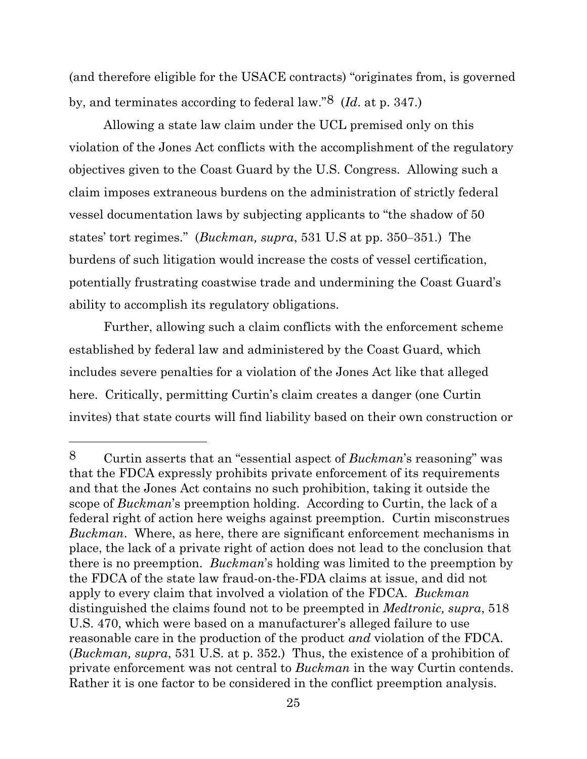(and therefore eligible for the USACE contracts) "originates from, is governed by, and terminates according to federal law."8 (*Id*. at p. 347.)

Allowing a state law claim under the UCL premised only on this violation of the Jones Act conflicts with the accomplishment of the regulatory objectives given to the Coast Guard by the U.S. Congress. Allowing such a claim imposes extraneous burdens on the administration of strictly federal vessel documentation laws by subjecting applicants to "the shadow of 50 states' tort regimes." (*Buckman, supra*, 531 U.S at pp. 350‒351.) The burdens of such litigation would increase the costs of vessel certification, potentially frustrating coastwise trade and undermining the Coast Guard's ability to accomplish its regulatory obligations.

Further, allowing such a claim conflicts with the enforcement scheme established by federal law and administered by the Coast Guard, which includes severe penalties for a violation of the Jones Act like that alleged here. Critically, permitting Curtin's claim creates a danger (one Curtin invites) that state courts will find liability based on their own construction or

<sup>8</sup> Curtin asserts that an "essential aspect of *Buckman*'s reasoning" was that the FDCA expressly prohibits private enforcement of its requirements and that the Jones Act contains no such prohibition, taking it outside the scope of *Buckman*'s preemption holding. According to Curtin, the lack of a federal right of action here weighs against preemption. Curtin misconstrues *Buckman*. Where, as here, there are significant enforcement mechanisms in place, the lack of a private right of action does not lead to the conclusion that there is no preemption. *Buckman*'s holding was limited to the preemption by the FDCA of the state law fraud-on-the-FDA claims at issue, and did not apply to every claim that involved a violation of the FDCA. *Buckman* distinguished the claims found not to be preempted in *Medtronic, supra*, 518 U.S. 470, which were based on a manufacturer's alleged failure to use reasonable care in the production of the product *and* violation of the FDCA. (*Buckman, supra*, 531 U.S. at p. 352.) Thus, the existence of a prohibition of private enforcement was not central to *Buckman* in the way Curtin contends. Rather it is one factor to be considered in the conflict preemption analysis.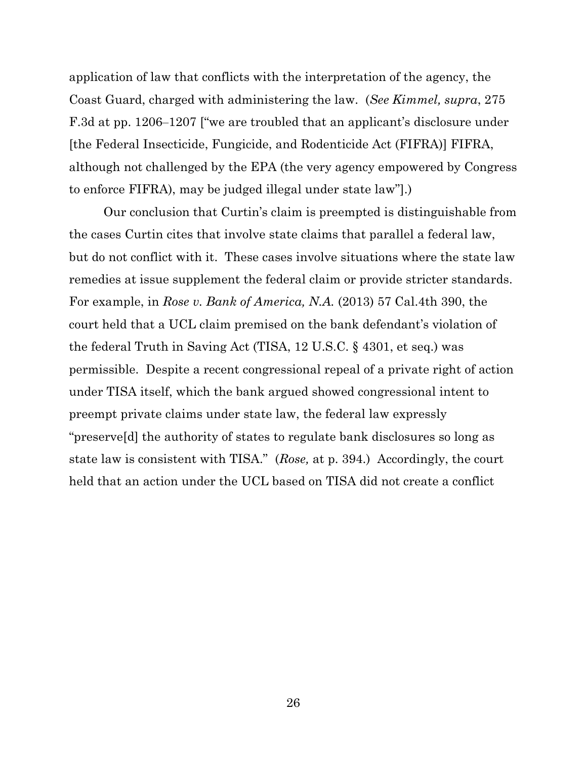application of law that conflicts with the interpretation of the agency, the Coast Guard, charged with administering the law. (*See Kimmel, supra*, 275 F.3d at pp. 1206–1207 ["we are troubled that an applicant's disclosure under [the Federal Insecticide, Fungicide, and Rodenticide Act (FIFRA)] FIFRA, although not challenged by the EPA (the very agency empowered by Congress to enforce FIFRA), may be judged illegal under state law"].)

Our conclusion that Curtin's claim is preempted is distinguishable from the cases Curtin cites that involve state claims that parallel a federal law, but do not conflict with it. These cases involve situations where the state law remedies at issue supplement the federal claim or provide stricter standards. For example, in *Rose v. Bank of America, N.A.* (2013) 57 Cal.4th 390, the court held that a UCL claim premised on the bank defendant's violation of the federal Truth in Saving Act (TISA, 12 U.S.C. § 4301, et seq.) was permissible. Despite a recent congressional repeal of a private right of action under TISA itself, which the bank argued showed congressional intent to preempt private claims under state law, the federal law expressly "preserve[d] the authority of states to regulate bank disclosures so long as state law is consistent with TISA." (*Rose,* at p. 394.) Accordingly, the court held that an action under the UCL based on TISA did not create a conflict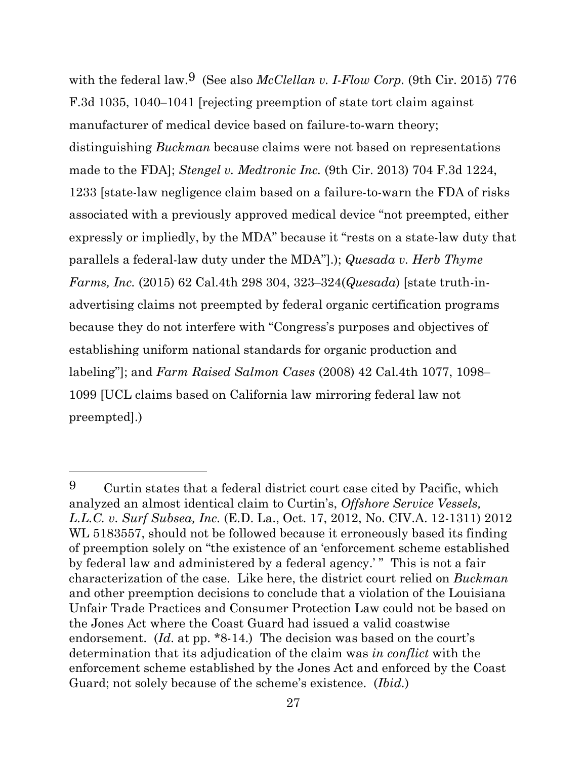with the federal law.<sup>9</sup> (See also *McClellan v. I-Flow Corp.* (9th Cir. 2015) 776 F.3d 1035, 1040–1041 [rejecting preemption of state tort claim against manufacturer of medical device based on failure-to-warn theory; distinguishing *Buckman* because claims were not based on representations made to the FDA]; *Stengel v. Medtronic Inc.* (9th Cir. 2013) 704 F.3d 1224, 1233 [state-law negligence claim based on a failure-to-warn the FDA of risks associated with a previously approved medical device "not preempted, either expressly or impliedly, by the MDA" because it "rests on a state-law duty that parallels a federal-law duty under the MDA"].); *Quesada v. Herb Thyme Farms, Inc.* (2015) 62 Cal.4th 298 304, 323‒324(*Quesada*) [state truth-inadvertising claims not preempted by federal organic certification programs because they do not interfere with "Congress's purposes and objectives of establishing uniform national standards for organic production and labeling"]; and *Farm Raised Salmon Cases* (2008) 42 Cal.4th 1077, 1098– 1099 [UCL claims based on California law mirroring federal law not preempted].)

<sup>9</sup> Curtin states that a federal district court case cited by Pacific, which analyzed an almost identical claim to Curtin's, *Offshore Service Vessels, L.L.C. v. Surf Subsea, Inc.* (E.D. La., Oct. 17, 2012, No. CIV.A. 12-1311) 2012 WL 5183557, should not be followed because it erroneously based its finding of preemption solely on "the existence of an 'enforcement scheme established by federal law and administered by a federal agency.' " This is not a fair characterization of the case. Like here, the district court relied on *Buckman* and other preemption decisions to conclude that a violation of the Louisiana Unfair Trade Practices and Consumer Protection Law could not be based on the Jones Act where the Coast Guard had issued a valid coastwise endorsement. (*Id*. at pp. \*8-14.) The decision was based on the court's determination that its adjudication of the claim was *in conflict* with the enforcement scheme established by the Jones Act and enforced by the Coast Guard; not solely because of the scheme's existence. (*Ibid.*)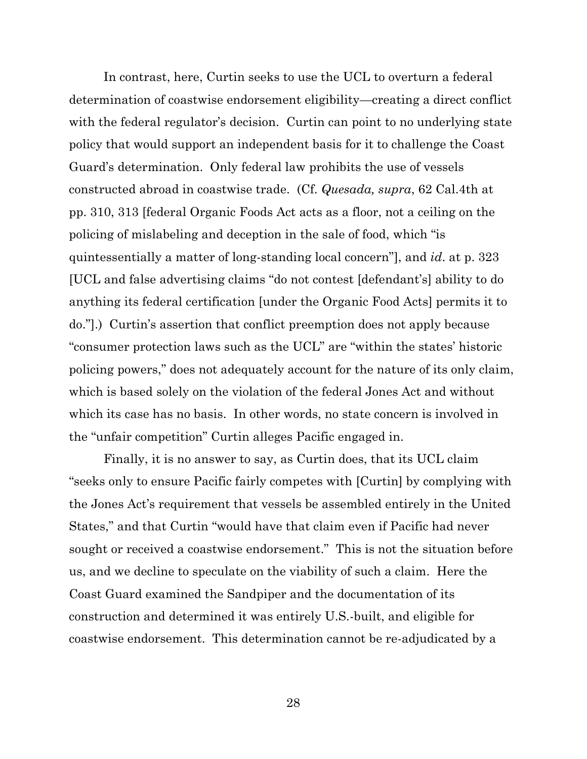In contrast, here, Curtin seeks to use the UCL to overturn a federal determination of coastwise endorsement eligibility—creating a direct conflict with the federal regulator's decision. Curtin can point to no underlying state policy that would support an independent basis for it to challenge the Coast Guard's determination. Only federal law prohibits the use of vessels constructed abroad in coastwise trade. (Cf. *Quesada, supra*, 62 Cal.4th at pp. 310, 313 [federal Organic Foods Act acts as a floor, not a ceiling on the policing of mislabeling and deception in the sale of food, which "is quintessentially a matter of long-standing local concern"], and *id*. at p. 323 [UCL and false advertising claims "do not contest [defendant's] ability to do anything its federal certification [under the Organic Food Acts] permits it to do."].) Curtin's assertion that conflict preemption does not apply because "consumer protection laws such as the UCL" are "within the states' historic policing powers," does not adequately account for the nature of its only claim, which is based solely on the violation of the federal Jones Act and without which its case has no basis. In other words, no state concern is involved in the "unfair competition" Curtin alleges Pacific engaged in.

Finally, it is no answer to say, as Curtin does, that its UCL claim "seeks only to ensure Pacific fairly competes with [Curtin] by complying with the Jones Act's requirement that vessels be assembled entirely in the United States," and that Curtin "would have that claim even if Pacific had never sought or received a coastwise endorsement." This is not the situation before us, and we decline to speculate on the viability of such a claim. Here the Coast Guard examined the Sandpiper and the documentation of its construction and determined it was entirely U.S.-built, and eligible for coastwise endorsement. This determination cannot be re-adjudicated by a